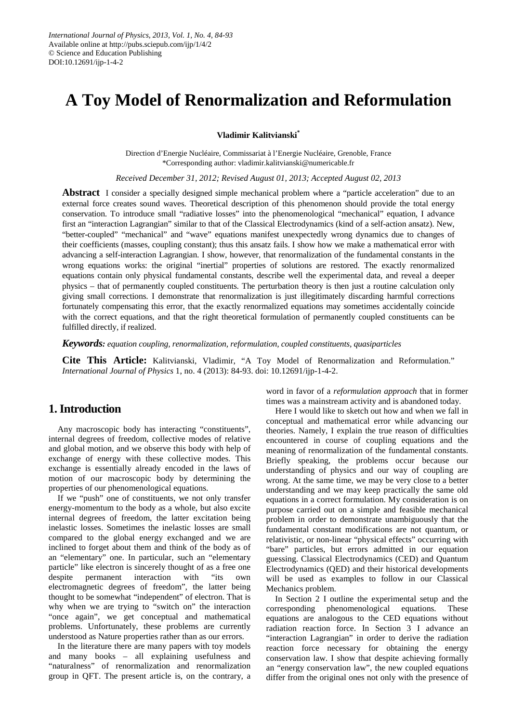# **A Toy Model of Renormalization and Reformulation**

**Vladimir Kalitvianski\***

Direction d'Energie Nucléaire, Commissariat à l'Energie Nucléaire, Grenoble, France \*Corresponding author: vladimir.kalitvianski@numericable.fr

*Received December 31, 2012; Revised August 01, 2013; Accepted August 02, 2013*

**Abstract** I consider a specially designed simple mechanical problem where a "particle acceleration" due to an external force creates sound waves. Theoretical description of this phenomenon should provide the total energy conservation. To introduce small "radiative losses" into the phenomenological "mechanical" equation, I advance first an "interaction Lagrangian" similar to that of the Classical Electrodynamics (kind of a self-action ansatz). New, "better-coupled" "mechanical" and "wave" equations manifest unexpectedly wrong dynamics due to changes of their coefficients (masses, coupling constant); thus this ansatz fails. I show how we make a mathematical error with advancing a self-interaction Lagrangian. I show, however, that renormalization of the fundamental constants in the wrong equations works: the original "inertial" properties of solutions are restored. The exactly renormalized equations contain only physical fundamental constants, describe well the experimental data, and reveal a deeper physics – that of permanently coupled constituents. The perturbation theory is then just a routine calculation only giving small corrections. I demonstrate that renormalization is just illegitimately discarding harmful corrections fortunately compensating this error, that the exactly renormalized equations may sometimes accidentally coincide with the correct equations, and that the right theoretical formulation of permanently coupled constituents can be fulfilled directly, if realized.

*Keywords: equation coupling, renormalization, reformulation, coupled constituents, quasiparticles*

**Cite This Article:** Kalitvianski, Vladimir, "A Toy Model of Renormalization and Reformulation." *International Journal of Physics* 1, no. 4 (2013): 84-93. doi: 10.12691/ijp-1-4-2.

## **1. Introduction**

Any macroscopic body has interacting "constituents", internal degrees of freedom, collective modes of relative and global motion, and we observe this body with help of exchange of energy with these collective modes. This exchange is essentially already encoded in the laws of motion of our macroscopic body by determining the properties of our phenomenological equations.

If we "push" one of constituents, we not only transfer energy-momentum to the body as a whole, but also excite internal degrees of freedom, the latter excitation being inelastic losses. Sometimes the inelastic losses are small compared to the global energy exchanged and we are inclined to forget about them and think of the body as of an "elementary" one. In particular, such an "elementary particle" like electron is sincerely thought of as a free one despite permanent interaction with "its own electromagnetic degrees of freedom", the latter being thought to be somewhat "independent" of electron. That is why when we are trying to "switch on" the interaction "once again", we get conceptual and mathematical problems. Unfortunately, these problems are currently understood as Nature properties rather than as our errors.

In the literature there are many papers with toy models and many books – all explaining usefulness and "naturalness" of renormalization and renormalization group in QFT. The present article is, on the contrary, a word in favor of a *reformulation approach* that in former times was a mainstream activity and is abandoned today.

Here I would like to sketch out how and when we fall in conceptual and mathematical error while advancing our theories. Namely, I explain the true reason of difficulties encountered in course of coupling equations and the meaning of renormalization of the fundamental constants. Briefly speaking, the problems occur because our understanding of physics and our way of coupling are wrong. At the same time, we may be very close to a better understanding and we may keep practically the same old equations in a correct formulation. My consideration is on purpose carried out on a simple and feasible mechanical problem in order to demonstrate unambiguously that the fundamental constant modifications are not quantum, or relativistic, or non-linear "physical effects" occurring with "bare" particles, but errors admitted in our equation guessing. Classical Electrodynamics (CED) and Quantum Electrodynamics (QED) and their historical developments will be used as examples to follow in our Classical Mechanics problem.

In Section 2 I outline the experimental setup and the corresponding phenomenological equations. These equations are analogous to the CED equations without radiation reaction force. In Section 3 I advance an "interaction Lagrangian" in order to derive the radiation reaction force necessary for obtaining the energy conservation law. I show that despite achieving formally an "energy conservation law", the new coupled equations differ from the original ones not only with the presence of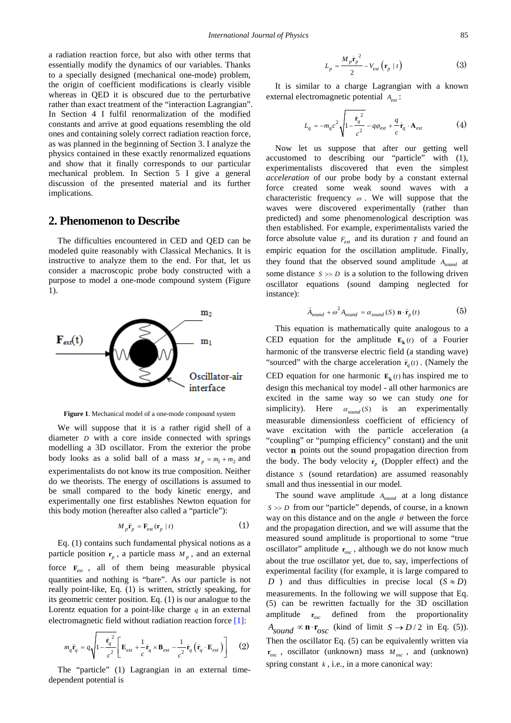a radiation reaction force, but also with other terms that essentially modify the dynamics of our variables. Thanks to a specially designed (mechanical one-mode) problem, the origin of coefficient modifications is clearly visible whereas in QED it is obscured due to the perturbative rather than exact treatment of the "interaction Lagrangian". In Section 4 I fulfil renormalization of the modified constants and arrive at good equations resembling the old ones and containing solely correct radiation reaction force, as was planned in the beginning of Section 3. I analyze the physics contained in these exactly renormalized equations and show that it finally corresponds to our particular mechanical problem. In Section 5 I give a general discussion of the presented material and its further implications.

### **2. Phenomenon to Describe**

The difficulties encountered in CED and QED can be modeled quite reasonably with Classical Mechanics. It is instructive to analyze them to the end. For that, let us consider a macroscopic probe body constructed with a purpose to model a one-mode compound system (Figure 1).



**Figure 1**. Mechanical model of a one-mode compound system

We will suppose that it is a rather rigid shell of a diameter *D* with a core inside connected with springs modelling a 3D oscillator. From the exterior the probe body looks as a solid ball of a mass  $M_p = m_1 + m_2$  and experimentalists do not know its true composition. Neither do we theorists. The energy of oscillations is assumed to be small compared to the body kinetic energy, and experimentally one first establishes Newton equation for this body motion (hereafter also called a "particle"):

$$
M_p \ddot{\mathbf{r}}_p = \mathbf{F}_{ext}(\mathbf{r}_p \mid t) \tag{1}
$$

Eq. (1) contains such fundamental physical notions as a particle position  $\mathbf{r}_p$ , a particle mass  $M_p$ , and an external force  $F_{\text{ext}}$ , all of them being measurable physical quantities and nothing is "bare". As our particle is not really point-like, Eq. (1) is written, strictly speaking, for its geometric center position. Eq. (1) is our analogue to the Lorentz equation for a point-like charge *q* in an external electromagnetic field without radiation reaction forc[e \[1\]:](#page-9-0)

$$
m_q \ddot{\mathbf{r}}_q = q \sqrt{1 - \frac{\dot{\mathbf{r}}_q^2}{c^2} \left[ \mathbf{E}_{ext} + \frac{1}{c} \dot{\mathbf{r}}_q \times \mathbf{B}_{ext} - \frac{1}{c^2} \dot{\mathbf{r}}_q \left( \dot{\mathbf{r}}_q \cdot \mathbf{E}_{ext} \right) \right]}
$$
(2)

The "particle" (1) Lagrangian in an external timedependent potential is

$$
L_p = \frac{M_p \dot{\mathbf{r}}_p^2}{2} - V_{ext} (\mathbf{r}_p \mid t)
$$
 (3)

It is similar to a charge Lagrangian with a known external electromagnetic potential  $A_{ext}$ :

$$
L_q = -m_q c^2 \sqrt{1 - \frac{\dot{\mathbf{r}}_q^2}{c^2}} - q \varphi_{ext} + \frac{q}{c} \dot{\mathbf{r}}_q \cdot \mathbf{A}_{ext}
$$
 (4)

Now let us suppose that after our getting well accustomed to describing our "particle" with (1), experimentalists discovered that even the simplest *acceleration* of our probe body by a constant external force created some weak sound waves with a characteristic frequency  $\omega$ . We will suppose that the waves were discovered experimentally (rather than predicted) and some phenomenological description was then established. For example, experimentalists varied the force absolute value  $F_{ext}$  and its duration  $T$  and found an empiric equation for the oscillation amplitude. Finally, they found that the observed sound amplitude  $A_{sound}$  at some distance  $S \gg D$  is a solution to the following driven oscillator equations (sound damping neglected for instance):

$$
\ddot{A}_{sound} + \omega^2 A_{sound} = \alpha_{sound} \left( S \right) \mathbf{n} \cdot \ddot{\mathbf{r}}_p(t) \tag{5}
$$

This equation is mathematically quite analogous to a CED equation for the amplitude  $\mathbf{E}_k(t)$  of a Fourier harmonic of the transverse electric field (a standing wave) "sourced" with the charge acceleration  $\ddot{\mathbf{r}}_q(t)$ . (Namely the CED equation for one harmonic  $\mathbf{E}_{\mathbf{k}}(t)$  has inspired me to design this mechanical toy model - all other harmonics are excited in the same way so we can study *one* for simplicity). Here  $\alpha_{\text{sound}}(S)$  is an experimentally measurable dimensionless coefficient of efficiency of wave excitation with the particle acceleration (a "coupling" or "pumping efficiency" constant) and the unit vector **n** points out the sound propagation direction from the body. The body velocity  $\dot{\mathbf{r}}_p$  (Doppler effect) and the distance *S* (sound retardation) are assumed reasonably small and thus inessential in our model.

The sound wave amplitude  $A_{sound}$  at a long distance  $S \gg D$  from our "particle" depends, of course, in a known way on this distance and on the angle  $\theta$  between the force and the propagation direction, and we will assume that the measured sound amplitude is proportional to some "true oscillator" amplitude  $r_{\text{osc}}$ , although we do not know much about the true oscillator yet, due to, say, imperfections of experimental facility (for example, it is large compared to *D* ) and thus difficulties in precise local  $(S \approx D)$ measurements. In the following we will suppose that Eq. (5) can be rewritten factually for the 3D oscillation amplitude  $r_{\text{osc}}$  defined from the proportionality  $A_{sound} \propto \mathbf{n} \cdot \mathbf{r}_{osc}$  (kind of limit  $S \rightarrow D/2$  in Eq. (5)). Then the oscillator Eq. (5) can be equivalently written via  $r_{osc}$ , oscillator (unknown) mass  $M_{osc}$ , and (unknown) spring constant  $k$ , i.e., in a more canonical way: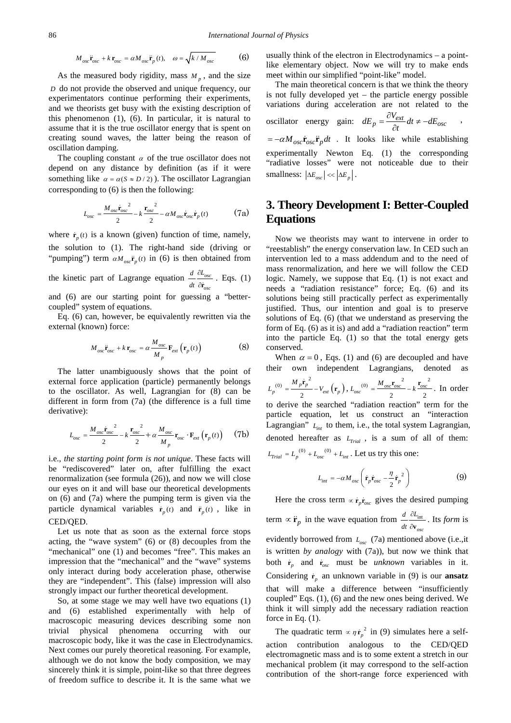$$
M_{osc}\ddot{\mathbf{r}}_{osc} + k \mathbf{r}_{osc} = \alpha M_{osc}\ddot{\mathbf{r}}_p(t), \quad \omega = \sqrt{k/M_{osc}} \tag{6}
$$

As the measured body rigidity, mass  $M_p$ , and the size *D* do not provide the observed and unique frequency, our experimentators continue performing their experiments, and we theorists get busy with the existing description of this phenomenon (1), (6). In particular, it is natural to assume that it is the true oscillator energy that is spent on creating sound waves, the latter being the reason of oscillation damping.

The coupling constant  $\alpha$  of the true oscillator does not depend on any distance by definition (as if it were something like  $\alpha = \alpha(S \approx D/2)$ ). The oscillator Lagrangian corresponding to (6) is then the following:

$$
L_{osc} = \frac{M_{osc}\dot{\mathbf{r}}_{osc}}{2} - k \frac{\mathbf{r}_{osc}}{2} - \alpha M_{osc}\dot{\mathbf{r}}_{osc}\dot{\mathbf{r}}_{p}(t)
$$
 (7a)

where  $\dot{\mathbf{r}}_n(t)$  is a known (given) function of time, namely, the solution to (1). The right-hand side (driving or "pumping") term  $\alpha M_{osc}$   $\ddot{\mathbf{r}}_n(t)$  in (6) is then obtained from

the kinetic part of Lagrange equation  $\frac{d^{2}C_{osc}}{dt^{2}}$ *osc d L dt*  $\frac{\partial L_{osc}}{\partial \dot{\mathbf{r}}_{osc}}$ . Eqs. (1) and (6) are our starting point for guessing a "better-

coupled" system of equations.

Eq. (6) can, however, be equivalently rewritten via the external (known) force:

$$
M_{osc}\ddot{\mathbf{r}}_{osc} + k \, \mathbf{r}_{osc} = \alpha \, \frac{M_{osc}}{M_p} \, \mathbf{F}_{ext} \left( \mathbf{r}_p \left( t \right) \right) \tag{8}
$$

The latter unambiguously shows that the point of external force application (particle) permanently belongs to the oscillator. As well, Lagrangian for (8) can be different in form from (7a) (the difference is a full time derivative):

$$
L_{osc} = \frac{M_{osc} \dot{\mathbf{r}}_{osc}}{2} - k \frac{\mathbf{r}_{osc}^2}{2} + \alpha \frac{M_{osc}}{M_p} \mathbf{r}_{osc} \cdot \mathbf{F}_{ext} (\mathbf{r}_p(t)) \qquad (7b)
$$

i.e., *the starting point form is not unique*. These facts will be "rediscovered" later on, after fulfilling the exact renormalization (see formula (26)), and now we will close our eyes on it and will base our theoretical developments on (6) and (7a) where the pumping term is given via the particle dynamical variables  $\dot{\mathbf{r}}_n(t)$  and  $\ddot{\mathbf{r}}_n(t)$ , like in CED/QED.

Let us note that as soon as the external force stops acting, the "wave system" (6) or (8) decouples from the "mechanical" one (1) and becomes "free". This makes an impression that the "mechanical" and the "wave" systems only interact during body acceleration phase, otherwise they are "independent". This (false) impression will also strongly impact our further theoretical development.

So, at some stage we may well have two equations (1) and (6) established experimentally with help of macroscopic measuring devices describing some non trivial physical phenomena occurring with our macroscopic body, like it was the case in Electrodynamics. Next comes our purely theoretical reasoning. For example, although we do not know the body composition, we may sincerely think it is simple, point-like so that three degrees of freedom suffice to describe it. It is the same what we

usually think of the electron in Electrodynamics – a pointlike elementary object. Now we will try to make ends meet within our simplified "point-like" model.

The main theoretical concern is that we think the theory is not fully developed yet – the particle energy possible variations during acceleration are not related to the oscillator energy gain:  $dE_p = \frac{\partial V_{ext}}{\partial t} dt \neq -dE_{osc}$  $=\frac{\partial V_{ext}}{\partial t}dt \neq -dE_{osc}$ ,  $=-\alpha M_{osc} \dot{\mathbf{r}}_{osc} \ddot{\mathbf{r}}_{ndt}$  . It looks like while establishing experimentally Newton Eq. (1) the corresponding "radiative losses" were not noticeable due to their

# **3. Theory Development I: Better-Coupled Equations**

smallness:  $|\Delta E_{osc}| \ll |\Delta E_{n}|$ .

Now we theorists may want to intervene in order to "reestablish" the energy conservation law. In CED such an intervention led to a mass addendum and to the need of mass renormalization, and here we will follow the CED logic. Namely, we suppose that Eq. (1) is not exact and needs a "radiation resistance" force; Eq. (6) and its solutions being still practically perfect as experimentally justified. Thus, our intention and goal is to preserve solutions of Eq. (6) (that we understand as preserving the form of Eq. (6) as it is) and add a "radiation reaction" term into the particle Eq. (1) so that the total energy gets conserved.

When  $\alpha = 0$ , Eqs. (1) and (6) are decoupled and have their own independent Lagrangians, denoted as (0)  $= \frac{M_p \dot{\mathbf{r}}_p^2}{\dot{\mathbf{r}}_p^2} - V_{ext} (\mathbf{r}_p)$ 2  $V_p^{(0)} = \frac{m_p \mathbf{r}_p}{2} - V_{ext} \left( \mathbf{r}_p \right)$  $L_p^{(0)} = \frac{M_p \dot{\mathbf{r}}_p^2}{\sigma^2} - V_{ext}(\mathbf{r}_p),$ (0)  $M_{osc}r_{osc}^2$   $\frac{1}{L}r_{osc}^2$ 2 2  $\frac{f^{(0)}}{\rho} = \frac{M \cos^2 \theta \sec}{2} - k \frac{I \cos \theta}{2}$  $L_{osc}^{(0)} = \frac{M_{osc}r_{osc}^2}{m} - k \frac{r_{osc}^2}{m}$ . In order to derive the searched "radiation reaction" term for the particle equation, let us construct an "interaction Lagrangian"  $L_{int}$  to them, i.e., the total system Lagrangian, denoted hereafter as  $L_{\text{trial}}$ , is a sum of all of them:  $L_{\text{trial}} = L_p^{(0)} + L_{osc}^{(0)} + L_{\text{int}}$ . Let us try this one:

$$
L_{int} = -\alpha M_{osc} \left( \dot{\mathbf{r}}_{p} \dot{\mathbf{r}}_{osc} - \frac{\eta}{2} \dot{\mathbf{r}}_{p}^{2} \right)
$$
 (9)

Here the cross term  $\propto \dot{\mathbf{r}}_{p} \dot{\mathbf{r}}_{osc}$  gives the desired pumping term  $\propto \ddot{\mathbf{r}}_p$  in the wave equation from  $\frac{d}{dt} \frac{\partial \mathbf{r}_{\text{int}}}{\partial \mathbf{v}_{\text{osc}}}$ *d L dt*  $\frac{\partial L_{\text{int}}}{\partial \mathbf{v}_{osc}}$ . Its *form* is evidently borrowed from  $L_{osc}$  (7a) mentioned above (i.e., it is written *by analogy* with (7a)), but now we think that both  $\dot{\mathbf{r}}_p$  and  $\dot{\mathbf{r}}_{osc}$  must be *unknown* variables in it. Considering  $\dot{\mathbf{r}}_p$  an unknown variable in (9) is our **ansatz** that will make a difference between "insufficiently coupled" Eqs. (1), (6) and the new ones being derived. We think it will simply add the necessary radiation reaction force in Eq. (1).

The quadratic term  $\propto \eta \dot{\mathbf{r}}_p^2$  in (9) simulates here a selfaction contribution analogous to the CED/QED electromagnetic mass and is to some extent a stretch in our mechanical problem (it may correspond to the self-action contribution of the short-range force experienced with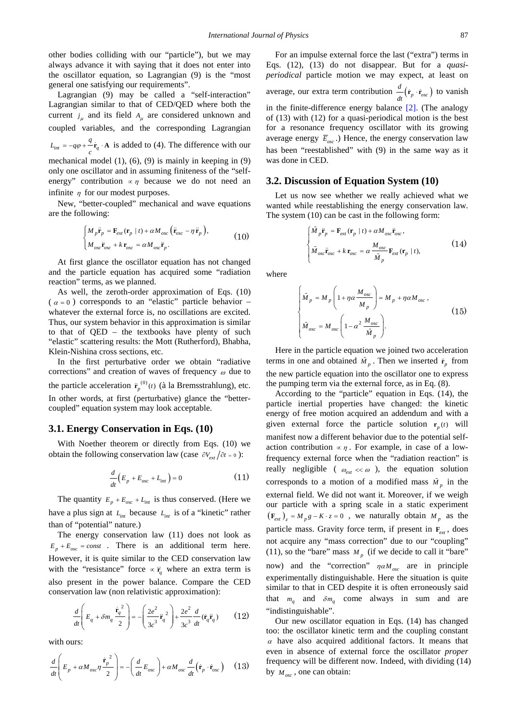other bodies colliding with our "particle"), but we may always advance it with saying that it does not enter into the oscillator equation, so Lagrangian (9) is the "most general one satisfying our requirements".

Lagrangian (9) may be called a "self-interaction" Lagrangian similar to that of CED/QED where both the current  $j_{\mu}$  and its field  $A_{\mu}$  are considered unknown and coupled variables, and the corresponding Lagrangian  $L_{int} = -q\varphi + \frac{q}{c} \dot{\mathbf{r}}_q \cdot \mathbf{A}$  is added to (4). The difference with our mechanical model (1), (6), (9) is mainly in keeping in (9) only one oscillator and in assuming finiteness of the "selfenergy" contribution  $\alpha \eta$  because we do not need an infinite  $\eta$  for our modest purposes.

New, "better-coupled" mechanical and wave equations are the following:

$$
\begin{cases} M_{p}\ddot{\mathbf{r}}_{p} = \mathbf{F}_{ext}(\mathbf{r}_{p} | t) + \alpha M_{osc} (\ddot{\mathbf{r}}_{osc} - \eta \ddot{\mathbf{r}}_{p}), \\ M_{osc} \ddot{\mathbf{r}}_{osc} + k \mathbf{r}_{osc} = \alpha M_{osc} \ddot{\mathbf{r}}_{p}. \end{cases}
$$
(10)

At first glance the oscillator equation has not changed and the particle equation has acquired some "radiation reaction" terms, as we planned.

As well, the zeroth-order approximation of Eqs. (10)  $(\alpha = 0)$  corresponds to an "elastic" particle behavior – whatever the external force is, no oscillations are excited. Thus, our system behavior in this approximation is similar to that of QED – the textbooks have plenty of such "elastic" scattering results: the Mott (Rutherford), Bhabha, Klein-Nishina cross sections, etc.

In the first perturbative order we obtain "radiative corrections" and creation of waves of frequency  $\omega$  due to the particle acceleration  $\ddot{\mathbf{r}}_p^{(0)}(t)$  (à la Bremsstrahlung), etc. In other words, at first (perturbative) glance the "bettercoupled" equation system may look acceptable.

#### **3.1. Energy Conservation in Eqs. (10)**

With Noether theorem or directly from Eqs. (10) we obtain the following conservation law (case  $\partial V_{ext}/\partial t = 0$ ):

$$
\frac{d}{dt}\left(E_p + E_{osc} + L_{int}\right) = 0\tag{11}
$$

The quantity  $E_p + E_{osc} + L_{int}$  is thus conserved. (Here we have a plus sign at  $L_{int}$  because  $L_{int}$  is of a "kinetic" rather than of "potential" nature.)

The energy conservation law (11) does not look as  $E_p + E_{osc} = const$ . There is an additional term here. However, it is quite similar to the CED conservation law with the "resistance" force  $\propto \ddot{r}_a$  where an extra term is also present in the power balance. Compare the CED conservation law (non relativistic approximation):

$$
\frac{d}{dt}\left(E_q + \delta m_q \frac{\dot{\mathbf{r}}_q^2}{2}\right) = -\left(\frac{2e^2}{3c^3}\ddot{\mathbf{r}}_q^2\right) + \frac{2e^2}{3c^3}\frac{d}{dt}(\dot{\mathbf{r}}_q\ddot{\mathbf{r}}_q)
$$
(12)

with ours:

$$
\frac{d}{dt}\left(E_p + \alpha M_{osc}\eta \frac{\dot{\mathbf{r}}_p^2}{2}\right) = -\left(\frac{d}{dt}E_{osc}\right) + \alpha M_{osc}\frac{d}{dt}\left(\dot{\mathbf{r}}_p \cdot \dot{\mathbf{r}}_{osc}\right) \tag{13}
$$

For an impulse external force the last ("extra") terms in Eqs. (12), (13) do not disappear. But for a *quasiperiodical* particle motion we may expect, at least on average, our extra term contribution  $\frac{d}{dt}(\dot{\mathbf{r}}_p \cdot \dot{\mathbf{r}}_{osc})$  to vanish in the finite-difference energy balance [\[2\].](#page-9-1) (The analogy of (13) with (12) for a quasi-periodical motion is the best for a resonance frequency oscillator with its growing average energy  $\overline{E}_{osc}$ .) Hence, the energy conservation law has been "reestablished" with (9) in the same way as it was done in CED.

#### **3.2. Discussion of Equation System (10)**

Let us now see whether we really achieved what we wanted while reestablishing the energy conservation law. The system (10) can be cast in the following form:

$$
\begin{cases}\n\tilde{M}_p \ddot{\mathbf{r}}_p = \mathbf{F}_{ext}(\mathbf{r}_p | t) + \alpha M_{osc} \ddot{\mathbf{r}}_{osc}, \\
\tilde{M}_{osc} \ddot{\mathbf{r}}_{osc} + k \mathbf{r}_{osc} = \alpha \frac{M_{osc}}{\tilde{M}_p} \mathbf{F}_{ext}(\mathbf{r}_p | t),\n\end{cases}
$$
\n(14)

where

$$
\begin{cases}\n\tilde{M}_p = M_p \left( 1 + \eta \alpha \frac{M_{osc}}{M_p} \right) = M_p + \eta \alpha M_{osc}, \\
\tilde{M}_{osc} = M_{osc} \left( 1 - \alpha^2 \frac{M_{osc}}{\tilde{M}_p} \right).\n\end{cases}
$$
\n(15)

Here in the particle equation we joined two acceleration terms in one and obtained  $\tilde{M}_p$ . Then we inserted  $\tilde{r}_p$  from the new particle equation into the oscillator one to express the pumping term via the external force, as in Eq. (8).

According to the "particle" equation in Eqs. (14), the particle inertial properties have changed: the kinetic energy of free motion acquired an addendum and with a given external force the particle solution  $\mathbf{r}_p(t)$  will manifest now a different behavior due to the potential selfaction contribution  $\propto \eta$ . For example, in case of a lowfrequency external force when the "radiation reaction" is really negligible ( $\omega_{ext} \ll \omega$ ), the equation solution corresponds to a motion of a modified mass  $\tilde{M}_p$  in the external field. We did not want it. Moreover, if we weigh our particle with a spring scale in a static experiment  $({\bf F}_{ext})_z = M_p g - K \cdot z = 0$ , we naturally obtain  $M_p$  as the particle mass. Gravity force term, if present in  $\mathbf{F}_{ext}$ , does not acquire any "mass correction" due to our "coupling" (11), so the "bare" mass  $M_p$  (if we decide to call it "bare" now) and the "correction"  $\eta \alpha M_{osc}$  are in principle experimentally distinguishable. Here the situation is quite similar to that in CED despite it is often erroneously said that  $m_q$  and  $\delta m_q$  come always in sum and are "indistinguishable".

Our new oscillator equation in Eqs. (14) has changed too: the oscillator kinetic term and the coupling constant  $\alpha$  have also acquired additional factors. It means that even in absence of external force the oscillator *proper* frequency will be different now. Indeed, with dividing (14) by  $M_{osc}$ , one can obtain: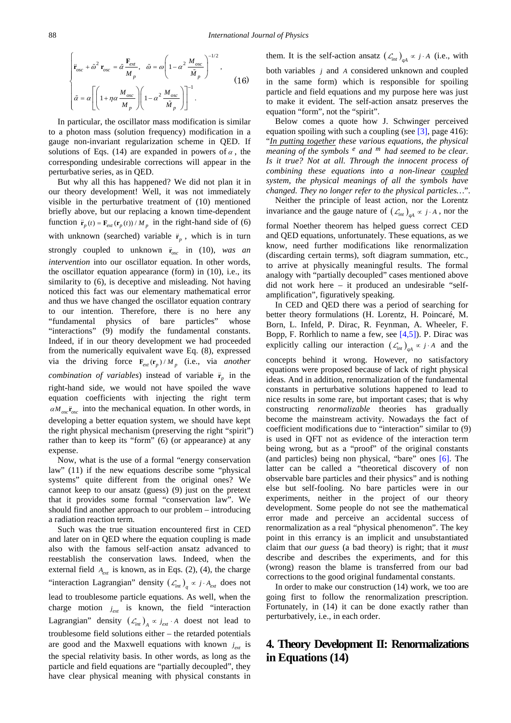$$
\begin{cases}\n\ddot{\mathbf{r}}_{osc} + \tilde{\omega}^2 \, \mathbf{r}_{osc} = \tilde{\alpha} \frac{\mathbf{F}_{ext}}{M_p}, \quad \tilde{\omega} = \omega \left( 1 - \alpha^2 \frac{M_{osc}}{\tilde{M}_p} \right)^{-1/2}, \\
\tilde{\alpha} = \alpha \left[ \left( 1 + \eta \alpha \frac{M_{osc}}{M_p} \right) \left( 1 - \alpha^2 \frac{M_{osc}}{\tilde{M}_p} \right) \right]^{-1}.\n\end{cases}
$$
\n(16)

In particular, the oscillator mass modification is similar to a photon mass (solution frequency) modification in a gauge non-invariant regularization scheme in QED. If solutions of Eqs. (14) are expanded in powers of  $\alpha$ , the corresponding undesirable corrections will appear in the perturbative series, as in QED.

But why all this has happened? We did not plan it in our theory development! Well, it was not immediately visible in the perturbative treatment of (10) mentioned briefly above, but our replacing a known time-dependent function  $\ddot{\mathbf{r}}_p(t) = \mathbf{F}_{ext}(\mathbf{r}_p(t))/M_p$  in the right-hand side of (6) with unknown (searched) variable  $\ddot{\mathbf{r}}_p$ , which is in turn strongly coupled to unknown  $\ddot{\mathbf{r}}_{osc}$  in (10), *was an intervention* into our oscillator equation. In other words, the oscillator equation appearance (form) in (10), i.e., its similarity to (6), is deceptive and misleading. Not having noticed this fact was our elementary mathematical error and thus we have changed the oscillator equation contrary to our intention. Therefore, there is no here any "fundamental physics of bare particles" whose "interactions" (9) modify the fundamental constants. Indeed, if in our theory development we had proceeded from the numerically equivalent wave Eq. (8), expressed via the driving force  $\mathbf{F}_{ext}(\mathbf{r}_p)/M_p$  (i.e., via *another combination of variables*) instead of variable  $\ddot{\mathbf{r}}$  in the right-hand side, we would not have spoiled the wave equation coefficients with injecting the right term  $\alpha M_{\text{osc}}$  into the mechanical equation. In other words, in developing a better equation system, we should have kept the right physical mechanism (preserving the right "spirit") rather than to keep its "form" (6) (or appearance) at any expense.

Now, what is the use of a formal "energy conservation law" (11) if the new equations describe some "physical systems" quite different from the original ones? We cannot keep to our ansatz (guess) (9) just on the pretext that it provides some formal "conservation law". We should find another approach to our problem – introducing a radiation reaction term.

Such was the true situation encountered first in CED and later on in QED where the equation coupling is made also with the famous self-action ansatz advanced to reestablish the conservation laws. Indeed, when the external field  $A_{ext}$  is known, as in Eqs. (2), (4), the charge "interaction Lagrangian" density  $(\mathcal{L}_{int})_a \propto j \cdot A_{ext}$  does not lead to troublesome particle equations. As well, when the charge motion  $j_{ext}$  is known, the field "interaction" Lagrangian" density  $(\mathcal{L}_{int})_A \propto j_{ext} \cdot A$  doest not lead to troublesome field solutions either – the retarded potentials are good and the Maxwell equations with known  $j_{ext}$  is the special relativity basis. In other words, as long as the particle and field equations are "partially decoupled", they have clear physical meaning with physical constants in

them. It is the self-action ansatz  $(\mathcal{L}_{int})_{aA} \propto j \cdot A$  (i.e., with both variables *j* and *A* considered unknown and coupled in the same form) which is responsible for spoiling particle and field equations and my purpose here was just to make it evident. The self-action ansatz preserves the equation "form", not the "spirit".

Below comes a quote how J. Schwinger perceived equation spoiling with such a coupling (see  $[3]$ , page 416): "*In putting together these various equations, the physical meaning of the symbols <sup>e</sup> and <sup>m</sup> had seemed to be clear. Is it true? Not at all. Through the innocent process of combining these equations into a non-linear coupled system, the physical meanings of all the symbols have changed. They no longer refer to the physical particles…*".

Neither the principle of least action, nor the Lorentz invariance and the gauge nature of  $(\mathcal{L}_{int})_{ad} \propto j \cdot A$ , nor the formal Noether theorem has helped guess correct CED and QED equations, unfortunately. These equations, as we know, need further modifications like renormalization (discarding certain terms), soft diagram summation, etc., to arrive at physically meaningful results. The formal analogy with "partially decoupled" cases mentioned above did not work here – it produced an undesirable "selfamplification", figuratively speaking.

In CED and QED there was a period of searching for better theory formulations (H. Lorentz, H. Poincaré, M. Born, L. Infeld, P. Dirac, R. Feynman, A. Wheeler, F. Bopp, F. Rorhlich to name a few, see [\[4,5\]\)](#page-9-3). P. Dirac was explicitly calling our interaction  $({\mathcal L}_{int})_{ad} \propto j \cdot A$  and the

concepts behind it wrong. However, no satisfactory equations were proposed because of lack of right physical ideas. And in addition, renormalization of the fundamental constants in perturbative solutions happened to lead to nice results in some rare, but important cases; that is why constructing *renormalizable* theories has gradually become the mainstream activity. Nowadays the fact of coefficient modifications due to "interaction" similar to (9) is used in QFT not as evidence of the interaction term being wrong, but as a "proof" of the original constants (and particles) being non physical, "bare" ones [\[6\].](#page-9-4) The latter can be called a "theoretical discovery of non observable bare particles and their physics" and is nothing else but self-fooling. No bare particles were in our experiments, neither in the project of our theory development. Some people do not see the mathematical error made and perceive an accidental success of renormalization as a real "physical phenomenon". The key point in this errancy is an implicit and unsubstantiated claim that *our guess* (a bad theory) is right; that it *must* describe and describes the experiments, and for this (wrong) reason the blame is transferred from our bad corrections to the good original fundamental constants.

In order to make our construction (14) work, we too are going first to follow the renormalization prescription. Fortunately, in (14) it can be done exactly rather than perturbatively, i.e., in each order.

# **4. Theory Development II: Renormalizations in Equations (14)**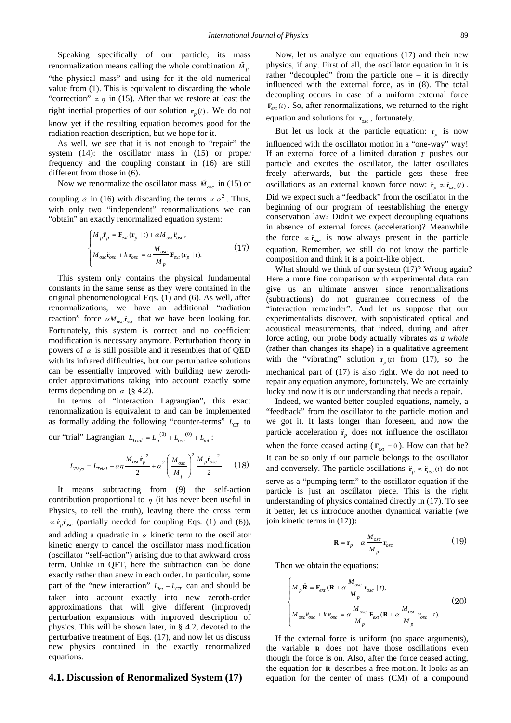Speaking specifically of our particle, its mass renormalization means calling the whole combination  $\tilde{M}_p$ "the physical mass" and using for it the old numerical value from (1). This is equivalent to discarding the whole "correction"  $\propto \eta$  in (15). After that we restore at least the right inertial properties of our solution  $r_p(t)$ . We do not know yet if the resulting equation becomes good for the radiation reaction description, but we hope for it.

As well, we see that it is not enough to "repair" the system (14): the oscillator mass in (15) or proper frequency and the coupling constant in (16) are still different from those in (6).

Now we renormalize the oscillator mass  $\tilde{M}_{osc}$  in (15) or coupling  $\tilde{\alpha}$  in (16) with discarding the terms  $\propto \alpha^2$ . Thus, with only two "independent" renormalizations we can "obtain" an exactly renormalized equation system:

$$
\begin{cases}\nM_{p}\ddot{\mathbf{r}}_{p} = \mathbf{F}_{ext}(\mathbf{r}_{p} \mid t) + \alpha M_{osc}\ddot{\mathbf{r}}_{osc}, \\
M_{osc}\ddot{\mathbf{r}}_{osc} + k \mathbf{r}_{osc} = \alpha \frac{M_{osc}}{M_{p}} \mathbf{F}_{ext}(\mathbf{r}_{p} \mid t).\n\end{cases}
$$
\n(17)

This system only contains the physical fundamental constants in the same sense as they were contained in the original phenomenological Eqs. (1) and (6). As well, after renormalizations, we have an additional "radiation reaction" force  $\alpha M_{osc} \ddot{\mathbf{r}}_{osc}$  that we have been looking for. Fortunately, this system is correct and no coefficient modification is necessary anymore. Perturbation theory in powers of  $\alpha$  is still possible and it resembles that of QED with its infrared difficulties, but our perturbative solutions can be essentially improved with building new zerothorder approximations taking into account exactly some terms depending on  $\alpha$  (§ 4.2).

In terms of "interaction Lagrangian", this exact renormalization is equivalent to and can be implemented as formally adding the following "counter-terms"  $L_{CT}$  to

our "trial" Lagrangian  $L_{\text{trial}} = L_p^{(0)} + L_{\text{osc}}^{(0)} + L_{\text{int}}$ :

$$
L_{Phys} = L_{Trial} - \alpha \eta \frac{M_{osc} \dot{\mathbf{r}}_p^2}{2} + \alpha^2 \left(\frac{M_{osc}}{M_p}\right)^2 \frac{M_p \dot{\mathbf{r}}_{osc}^2}{2}
$$
 (18)

It means subtracting from (9) the self-action contribution proportional to  $\eta$  (it has never been useful in Physics, to tell the truth), leaving there the cross term <sup>∝</sup> *p osc* **r r** (partially needed for coupling Eqs. (1) and (6)), and adding a quadratic in  $\alpha$  kinetic term to the oscillator kinetic energy to cancel the oscillator mass modification (oscillator "self-action") arising due to that awkward cross term. Unlike in QFT, here the subtraction can be done exactly rather than anew in each order. In particular, some part of the "new interaction"  $L_{int} + L_{CT}$  can and should be taken into account exactly into new zeroth-order approximations that will give different (improved) perturbation expansions with improved description of physics. This will be shown later, in § 4.2, devoted to the perturbative treatment of Eqs. (17), and now let us discuss new physics contained in the exactly renormalized equations.

#### **4.1. Discussion of Renormalized System (17)**

Now, let us analyze our equations (17) and their new physics, if any. First of all, the oscillator equation in it is rather "decoupled" from the particle one – it is directly influenced with the external force, as in (8). The total decoupling occurs in case of a uniform external force  ${\bf F}_{ext}(t)$ . So, after renormalizations, we returned to the right

equation and solutions for  $r_{\text{osc}}$ , fortunately.

But let us look at the particle equation:  $r<sub>n</sub>$  is now influenced with the oscillator motion in a "one-way" way! If an external force of a limited duration *T* pushes our particle and excites the oscillator, the latter oscillates freely afterwards, but the particle gets these free oscillations as an external known force now:  $\ddot{\mathbf{r}}_n \propto \ddot{\mathbf{r}}_{osc}(t)$ . Did we expect such a "feedback" from the oscillator in the beginning of our program of reestablishing the energy conservation law? Didn't we expect decoupling equations in absence of external forces (acceleration)? Meanwhile the force  $\propto \ddot{\mathbf{r}}_{osc}$  is now always present in the particle equation. Remember, we still do not know the particle composition and think it is a point-like object.

What should we think of our system (17)? Wrong again? Here a more fine comparison with experimental data can give us an ultimate answer since renormalizations (subtractions) do not guarantee correctness of the "interaction remainder". And let us suppose that our experimentalists discover, with sophisticated optical and acoustical measurements, that indeed, during and after force acting, our probe body actually vibrates *as a whole* (rather than changes its shape) in a qualitative agreement with the "vibrating" solution  $r_p(t)$  from (17), so the mechanical part of (17) is also right. We do not need to repair any equation anymore, fortunately. We are certainly lucky and now it is our understanding that needs a repair.

Indeed, we wanted better-coupled equations, namely, a "feedback" from the oscillator to the particle motion and we got it. It lasts longer than foreseen, and now the particle acceleration  $\ddot{\mathbf{r}}$  does not influence the oscillator when the force ceased acting ( $\mathbf{F}_{ext} = 0$ ). How can that be? It can be so only if our particle belongs to the oscillator and conversely. The particle oscillations  $\ddot{\mathbf{r}}_n \propto \ddot{\mathbf{r}}_{osc}(t)$  do not serve as a "pumping term" to the oscillator equation if the particle is just an oscillator piece. This is the right understanding of physics contained directly in (17). To see it better, let us introduce another dynamical variable (we join kinetic terms in (17)):

$$
\mathbf{R} = \mathbf{r}_p - \alpha \frac{M_{osc}}{M_p} \mathbf{r}_{osc}
$$
 (19)

Then we obtain the equations:

$$
\begin{cases}\nM_{p}\ddot{\mathbf{R}} = \mathbf{F}_{ext}(\mathbf{R} + \alpha \frac{M_{osc}}{M_{p}}\mathbf{r}_{osc} | t), \\
M_{osc}\ddot{\mathbf{r}}_{osc} + k \mathbf{r}_{osc} = \alpha \frac{M_{osc}}{M_{p}}\mathbf{F}_{ext}(\mathbf{R} + \alpha \frac{M_{osc}}{M_{p}}\mathbf{r}_{osc} | t).\n\end{cases}
$$
\n(20)

If the external force is uniform (no space arguments), the variable **R** does not have those oscillations even though the force is on. Also, after the force ceased acting, the equation for **R** describes a free motion. It looks as an equation for the center of mass (CM) of a compound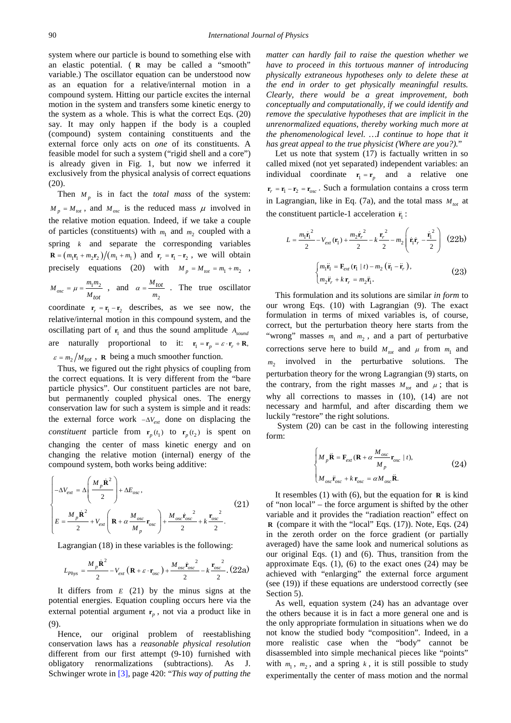system where our particle is bound to something else with an elastic potential. ( **R** may be called a "smooth" variable.) The oscillator equation can be understood now as an equation for a relative/internal motion in a compound system. Hitting our particle excites the internal motion in the system and transfers some kinetic energy to the system as a whole. This is what the correct Eqs. (20) say. It may only happen if the body is a coupled (compound) system containing constituents and the external force only acts on *one* of its constituents. A feasible model for such a system ("rigid shell and a core") is already given in Fig. 1, but now we inferred it exclusively from the physical analysis of correct equations (20).

Then  $M_p$  is in fact the *total mass* of the system:  $M_p = M_{tot}$ , and  $M_{osc}$  is the reduced mass  $\mu$  involved in the relative motion equation. Indeed, if we take a couple of particles (constituents) with  $m_1$  and  $m_2$  coupled with a spring *k* and separate the corresponding variables  $\mathbf{R} = (m_1 \mathbf{r}_1 + m_2 \mathbf{r}_2) / (m_1 + m_1)$  and  $\mathbf{r}_r = \mathbf{r}_1 - \mathbf{r}_2$ , we will obtain precisely equations (20) with  $M_p = M_{tot} = m_1 + m_2$ ,  $M_{osc} = \mu = \frac{m_1 m_2}{M}$  $=\mu = \frac{m_1 m_2}{m_1}$ , and  $\alpha = \frac{M_{tot}}{m_2}$ . The true oscillator

*Mtot* 2 coordinate  $r_r = r_1 - r_2$  describes, as we see now, the relative/internal motion in this compound system, and the oscillating part of  $r_1$  and thus the sound amplitude  $A_{sound}$ are naturally proportional to it:  $\mathbf{r}_1 = \mathbf{r}_p = \varepsilon \cdot \mathbf{r}_r + \mathbf{R}$ ,  $\varepsilon = m_2 / M_{tot}$ , **R** being a much smoother function.

Thus, we figured out the right physics of coupling from the correct equations. It is very different from the "bare particle physics". Our constituent particles are not bare, but permanently coupled physical ones. The energy conservation law for such a system is simple and it reads: the external force work  $-\Delta V_{ext}$  done on displacing the *constituent* particle from  $\mathbf{r}_p(t_1)$  to  $\mathbf{r}_p(t_2)$  is spent on changing the center of mass kinetic energy and on changing the relative motion (internal) energy of the compound system, both works being additive:

$$
\begin{cases}\n-\Delta V_{ext} = \Delta \left(\frac{M_p \dot{\mathbf{R}}^2}{2}\right) + \Delta E_{osc}, \\
E = \frac{M_p \dot{\mathbf{R}}^2}{2} + V_{ext} \left(\mathbf{R} + \alpha \frac{M_{osc}}{M_p} \mathbf{r}_{osc}\right) + \frac{M_{osc} \dot{\mathbf{r}}_{osc}^2}{2} + k \frac{\mathbf{r}_{osc}^2}{2}.\n\end{cases}
$$
\n(21)

Lagrangian (18) in these variables is the following:

$$
L_{Phys} = \frac{M_p \dot{\mathbf{R}}^2}{2} - V_{ext} \left( \mathbf{R} + \varepsilon \cdot \mathbf{r}_{osc} \right) + \frac{M_{osc} \dot{\mathbf{r}}_{osc}}{2} - k \frac{\mathbf{r}_{osc}^2}{2} . (22a)
$$

It differs from *E* (21) by the minus signs at the potential energies. Equation coupling occurs here via the external potential argument  $r_p$ , not via a product like in (9).

Hence, our original problem of reestablishing conservation laws has a *reasonable physical resolution* different from our first attempt (9-10) furnished with obligatory renormalizations (subtractions). As J. Schwinger wrote in [\[3\],](#page-9-2) page 420: "*This way of putting the*  *matter can hardly fail to raise the question whether we have to proceed in this tortuous manner of introducing physically extraneous hypotheses only to delete these at the end in order to get physically meaningful results. Clearly, there would be a great improvement, both conceptually and computationally, if we could identify and remove the speculative hypotheses that are implicit in the unrenormalized equations, thereby working much more at the phenomenological level. …I continue to hope that it has great appeal to the true physicist (Where are you?).*"

Let us note that system (17) is factually written in so called mixed (not yet separated) independent variables: an individual coordinate  $r_1 = r_n$  and a relative one  $r_r = r_1 - r_2 = r_{osc}$ . Such a formulation contains a cross term in Lagrangian, like in Eq. (7a), and the total mass  $M_{tot}$  at the constituent particle-1 acceleration  $\ddot{\mathbf{r}}_i$ :

$$
L = \frac{m_1 \dot{\mathbf{r}}_1^2}{2} - V_{ext}(\mathbf{r}_1) + \frac{m_2 \dot{\mathbf{r}}_r^2}{2} - k \frac{\mathbf{r}_r^2}{2} - m_2 \left(\dot{\mathbf{r}}_1 \dot{\mathbf{r}}_r - \frac{\dot{\mathbf{r}}_1^2}{2}\right)
$$
 (22b)  

$$
\begin{cases} m_1 \ddot{\mathbf{r}}_1 = \mathbf{F}_{ext}(\mathbf{r}_1 \mid t) - m_2 (\dot{\mathbf{r}}_1 - \ddot{\mathbf{r}}_r), \\ m_2 \ddot{\mathbf{r}}_r + k \mathbf{r}_r = m_2 \ddot{\mathbf{r}}_1. \end{cases}
$$
 (23)

This formulation and its solutions are similar *in form* to our wrong Eqs. (10) with Lagrangian (9). The exact formulation in terms of mixed variables is, of course, correct, but the perturbation theory here starts from the "wrong" masses  $m_1$  and  $m_2$ , and a part of perturbative corrections serve here to build  $M_{tot}$  and  $\mu$  from  $m_1$  and  $m<sub>2</sub>$  involved in the perturbative solutions. The perturbation theory for the wrong Lagrangian (9) starts, on the contrary, from the right masses  $M_{tot}$  and  $\mu$ ; that is why all corrections to masses in (10), (14) are not necessary and harmful, and after discarding them we luckily "restore" the right solutions.

System (20) can be cast in the following interesting form:

$$
\begin{cases}\nM_p \ddot{\mathbf{R}} = \mathbf{F}_{ext} (\mathbf{R} + \alpha \frac{M_{osc}}{M_p} \mathbf{r}_{osc} | t), \\
M_{osc} \ddot{\mathbf{r}}_{osc} + k \mathbf{r}_{osc} = \alpha M_{osc} \ddot{\mathbf{R}}.\n\end{cases}
$$
\n(24)

It resembles (1) with (6), but the equation for **R** is kind of "non local" – the force argument is shifted by the other variable and it provides the "radiation reaction" effect on **R** (compare it with the "local" Eqs. (17)). Note, Eqs. (24) in the zeroth order on the force gradient (or partially averaged) have the same look and numerical solutions as our original Eqs. (1) and (6). Thus, transition from the approximate Eqs.  $(1)$ ,  $(6)$  to the exact ones  $(24)$  may be achieved with "enlarging" the external force argument (see (19)) if these equations are understood correctly (see Section 5).

As well, equation system (24) has an advantage over the others because it is in fact a more general one and is the only appropriate formulation in situations when we do not know the studied body "composition". Indeed, in a more realistic case when the "body" cannot be disassembled into simple mechanical pieces like "points" with  $m_1$ ,  $m_2$ , and a spring  $k$ , it is still possible to study experimentally the center of mass motion and the normal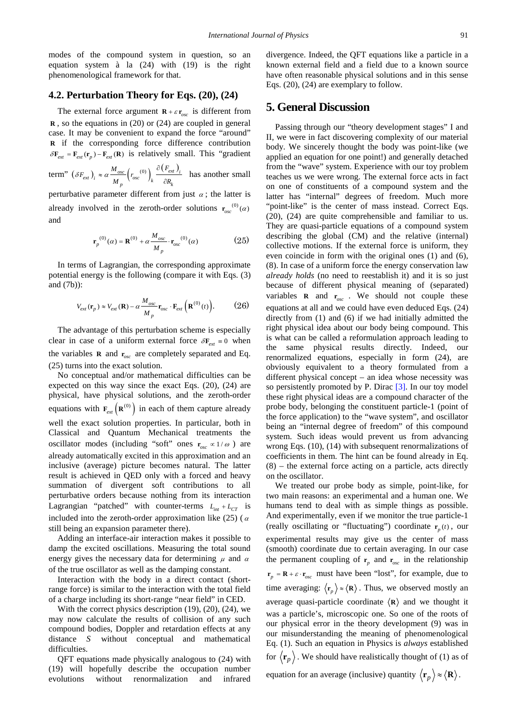modes of the compound system in question, so an equation system à la (24) with (19) is the right phenomenological framework for that.

#### **4.2. Perturbation Theory for Eqs. (20), (24)**

The external force argument  $\mathbf{R} + \varepsilon \mathbf{r}_{osc}$  is different from **R** , so the equations in (20) or (24) are coupled in general case. It may be convenient to expand the force "around" **R** if the corresponding force difference contribution  $\delta \mathbf{F}_{ext} = \mathbf{F}_{ext}(\mathbf{r}_p) - \mathbf{F}_{ext}(\mathbf{R})$  is relatively small. This "gradient

term" 
$$
(\delta F_{ext})_i \approx \alpha \frac{M_{osc}}{M_p} \left( r_{osc}^{(0)} \right)_k \frac{\partial (F_{ext})_i}{\partial R_k}
$$
 has another small

perturbative parameter different from just  $\alpha$ ; the latter is already involved in the zeroth-order solutions  $\mathbf{r}_{\text{av}}^{(0)}(a)$ and

$$
\mathbf{r}_p^{(0)}(\alpha) = \mathbf{R}^{(0)} + \alpha \frac{M_{osc}}{M_p} \cdot \mathbf{r}_{osc}^{(0)}(\alpha)
$$
 (25)

In terms of Lagrangian, the corresponding approximate potential energy is the following (compare it with Eqs. (3) and (7b)):

$$
V_{ext}(\mathbf{r}_p) \approx V_{ext}(\mathbf{R}) - \alpha \frac{M_{osc}}{M_p} \mathbf{r}_{osc} \cdot \mathbf{F}_{ext}(\mathbf{R}^{(0)}(t)).
$$
 (26)

The advantage of this perturbation scheme is especially clear in case of a uniform external force  $\delta \mathbf{F}_{ext} = 0$  when the variables **R** and  $r_{osc}$  are completely separated and Eq. (25) turns into the exact solution.

No conceptual and/or mathematical difficulties can be expected on this way since the exact Eqs. (20), (24) are physical, have physical solutions, and the zeroth-order equations with  $\mathbf{F}_{ext}(\mathbf{R}^{(0)})$  in each of them capture already well the exact solution properties. In particular, both in Classical and Quantum Mechanical treatments the oscillator modes (including "soft" ones  $\mathbf{r}_{osc} \propto 1 / \omega$ ) are already automatically excited in this approximation and an inclusive (average) picture becomes natural. The latter result is achieved in QED only with a forced and heavy summation of divergent soft contributions to all perturbative orders because nothing from its interaction Lagrangian "patched" with counter-terms  $L_{int} + L_{CT}$  is included into the zeroth-order approximation like (25) ( $\alpha$ still being an expansion parameter there).

Adding an interface-air interaction makes it possible to damp the excited oscillations. Measuring the total sound energy gives the necessary data for determining  $\mu$  and  $\alpha$ of the true oscillator as well as the damping constant.

Interaction with the body in a direct contact (shortrange force) is similar to the interaction with the total field of a charge including its short-range "near field" in CED.

With the correct physics description (19), (20), (24), we may now calculate the results of collision of any such compound bodies, Doppler and retardation effects at any distance *S* without conceptual and mathematical difficulties.

QFT equations made physically analogous to (24) with (19) will hopefully describe the occupation number evolutions without renormalization and infrared

divergence. Indeed, the QFT equations like a particle in a known external field and a field due to a known source have often reasonable physical solutions and in this sense Eqs. (20), (24) are exemplary to follow.

### **5. General Discussion**

Passing through our "theory development stages" I and II, we were in fact discovering complexity of our material body. We sincerely thought the body was point-like (we applied an equation for one point!) and generally detached from the "wave" system. Experience with our toy problem teaches us we were wrong. The external force acts in fact on one of constituents of a compound system and the latter has "internal" degrees of freedom. Much more "point-like" is the center of mass instead. Correct Eqs. (20), (24) are quite comprehensible and familiar to us. They are quasi-particle equations of a compound system describing the global (CM) and the relative (internal) collective motions. If the external force is uniform, they even coincide in form with the original ones (1) and (6), (8). In case of a uniform force the energy conservation law *already holds* (no need to reestablish it) and it is so just because of different physical meaning of (separated) variables **R** and  $r_{\text{osc}}$ . We should not couple these equations at all and we could have even deduced Eqs. (24) directly from (1) and (6) if we had initially admitted the right physical idea about our body being compound. This is what can be called a reformulation approach leading to the same physical results directly. Indeed, our renormalized equations, especially in form (24), are obviously equivalent to a theory formulated from a different physical concept – an idea whose necessity was so persistently promoted by P. Dirac [\[3\].](#page-9-2) In our toy model these right physical ideas are a compound character of the probe body, belonging the constituent particle-1 (point of the force application) to the "wave system", and oscillator being an "internal degree of freedom" of this compound system. Such ideas would prevent us from advancing wrong Eqs. (10), (14) with subsequent renormalizations of coefficients in them. The hint can be found already in Eq. (8) – the external force acting on a particle, acts directly on the oscillator.

We treated our probe body as simple, point-like, for two main reasons: an experimental and a human one. We humans tend to deal with as simple things as possible. And experimentally, even if we monitor the true particle-1 (really oscillating or "fluctuating") coordinate  $\mathbf{r}_p(t)$ , our experimental results may give us the center of mass (smooth) coordinate due to certain averaging. In our case the permanent coupling of  $r_p$  and  $r_{osc}$  in the relationship  $\mathbf{r}_p = \mathbf{R} + \varepsilon \cdot \mathbf{r}_{osc}$  must have been "lost", for example, due to time averaging:  $\langle \mathbf{r}_n \rangle \approx \langle \mathbf{R} \rangle$ . Thus, we observed mostly an average quasi-particle coordinate  $\langle \mathbf{R} \rangle$  and we thought it was a particle's, microscopic one. So one of the roots of our physical error in the theory development (9) was in our misunderstanding the meaning of phenomenological Eq. (1). Such an equation in Physics is *always* established for  $\langle \mathbf{r}_p \rangle$ . We should have realistically thought of (1) as of

equation for an average (inclusive) quantity  $\langle \mathbf{r}_p \rangle \approx \langle \mathbf{R} \rangle$ .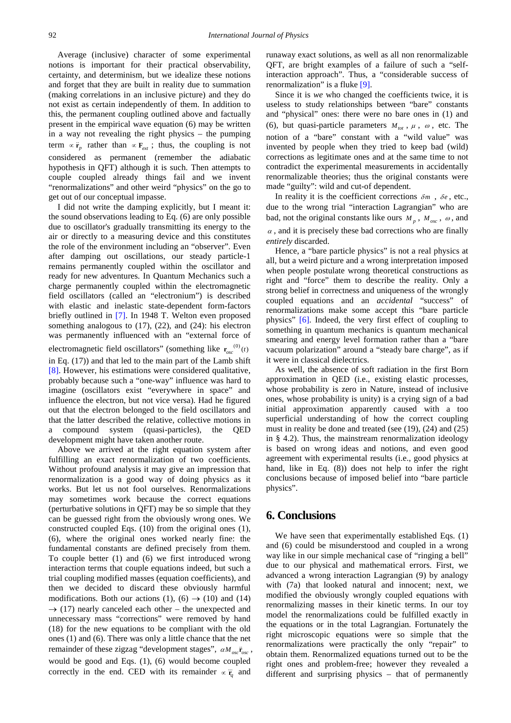Average (inclusive) character of some experimental notions is important for their practical observability, certainty, and determinism, but we idealize these notions and forget that they are built in reality due to summation (making correlations in an inclusive picture) and they do not exist as certain independently of them. In addition to this, the permanent coupling outlined above and factually present in the empirical wave equation (6) may be written in a way not revealing the right physics – the pumping term  $\propto \ddot{\mathbf{r}}_p$  rather than  $\propto \mathbf{F}_{ext}$ ; thus, the coupling is not considered as permanent (remember the adiabatic hypothesis in QFT) although it is such. Then attempts to couple coupled already things fail and we invent "renormalizations" and other weird "physics" on the go to get out of our conceptual impasse.

I did not write the damping explicitly, but I meant it: the sound observations leading to Eq. (6) are only possible due to oscillator's gradually transmitting its energy to the air or directly to a measuring device and this constitutes the role of the environment including an "observer". Even after damping out oscillations, our steady particle-1 remains permanently coupled within the oscillator and ready for new adventures. In Quantum Mechanics such a charge permanently coupled within the electromagnetic field oscillators (called an "electronium") is described with elastic and inelastic state-dependent form-factors briefly outlined in [\[7\].](#page-9-5) In 1948 T. Welton even proposed something analogous to (17), (22), and (24): his electron was permanently influenced with an "external force of electromagnetic field oscillators" (something like  $\mathbf{r}_{osc}^{(0)}(t)$ in Eq. (17)) and that led to the main part of the Lamb shift [\[8\].](#page-9-6) However, his estimations were considered qualitative, probably because such a "one-way" influence was hard to imagine (oscillators exist "everywhere in space" and influence the electron, but not vice versa). Had he figured out that the electron belonged to the field oscillators and that the latter described the relative, collective motions in a compound system (quasi-particles), the QED development might have taken another route.

Above we arrived at the right equation system after fulfilling an exact renormalization of two coefficients. Without profound analysis it may give an impression that renormalization is a good way of doing physics as it works. But let us not fool ourselves. Renormalizations may sometimes work because the correct equations (perturbative solutions in QFT) may be so simple that they can be guessed right from the obviously wrong ones. We constructed coupled Eqs. (10) from the original ones (1), (6), where the original ones worked nearly fine: the fundamental constants are defined precisely from them. To couple better (1) and (6) we first introduced wrong interaction terms that couple equations indeed, but such a trial coupling modified masses (equation coefficients), and then we decided to discard these obviously harmful modifications. Both our actions (1), (6)  $\rightarrow$  (10) and (14)  $\rightarrow$  (17) nearly canceled each other – the unexpected and unnecessary mass "corrections" were removed by hand (18) for the new equations to be compliant with the old ones (1) and (6). There was only a little chance that the net remainder of these zigzag "development stages",  $\alpha M_{osc}$   $\ddot{r}_{osc}$ would be good and Eqs. (1), (6) would become coupled correctly in the end. CED with its remainder  $\propto \ddot{r}_a$  and

runaway exact solutions, as well as all non renormalizable QFT, are bright examples of a failure of such a "selfinteraction approach". Thus, a "considerable success of renormalization" is a fluke [\[9\].](#page-9-7)

Since it is *we* who changed the coefficients twice, it is useless to study relationships between "bare" constants and "physical" ones: there were no bare ones in (1) and (6), but quasi-particle parameters  $M_{tot}$ ,  $\mu$ ,  $\omega$ , etc. The notion of a "bare" constant with a "wild value" was invented by people when they tried to keep bad (wild) corrections as legitimate ones and at the same time to not contradict the experimental measurements in accidentally renormalizable theories; thus the original constants were made "guilty": wild and cut-of dependent.

In reality it is the coefficient corrections  $\delta m$ ,  $\delta e$ , etc., due to the wrong trial "interaction Lagrangian" who are bad, not the original constants like ours  $M_p$ ,  $M_{osc}$ ,  $\omega$ , and  $\alpha$ , and it is precisely these bad corrections who are finally *entirely* discarded.

Hence, a "bare particle physics" is not a real physics at all, but a weird picture and a wrong interpretation imposed when people postulate wrong theoretical constructions as right and "force" them to describe the reality. Only a strong belief in correctness and uniqueness of the wrongly coupled equations and an *accidental* "success" of renormalizations make some accept this "bare particle physics" [\[6\].](#page-9-4) Indeed, the very first effect of coupling to something in quantum mechanics is quantum mechanical smearing and energy level formation rather than a "bare vacuum polarization" around a "steady bare charge", as if it were in classical dielectrics.

As well, the absence of soft radiation in the first Born approximation in QED (i.e., existing elastic processes, whose probability is zero in Nature, instead of inclusive ones, whose probability is unity) is a crying sign of a bad initial approximation apparently caused with a too superficial understanding of how the correct coupling must in reality be done and treated (see (19), (24) and (25) in § 4.2). Thus, the mainstream renormalization ideology is based on wrong ideas and notions, and even good agreement with experimental results (i.e., good physics at hand, like in Eq. (8)) does not help to infer the right conclusions because of imposed belief into "bare particle physics".

### **6. Conclusions**

We have seen that experimentally established Eqs. (1) and (6) could be misunderstood and coupled in a wrong way like in our simple mechanical case of "ringing a bell" due to our physical and mathematical errors. First, we advanced a wrong interaction Lagrangian (9) by analogy with (7a) that looked natural and innocent; next, we modified the obviously wrongly coupled equations with renormalizing masses in their kinetic terms. In our toy model the renormalizations could be fulfilled exactly in the equations or in the total Lagrangian. Fortunately the right microscopic equations were so simple that the renormalizations were practically the only "repair" to obtain them. Renormalized equations turned out to be the right ones and problem-free; however they revealed a different and surprising physics – that of permanently